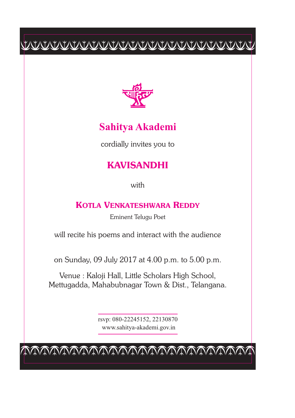# $\begin{tabular}{c} \multicolumn{2}{c} {\textbf{C}W} \multicolumn{2}{c} {\textbf{C}W} \multicolumn{2}{c} {\textbf{C}W} \multicolumn{2}{c} {\textbf{C}W} \multicolumn{2}{c} {\textbf{C}W} \multicolumn{2}{c} {\textbf{C}W} \multicolumn{2}{c} {\textbf{C}W} \multicolumn{2}{c} {\textbf{C}W} \multicolumn{2}{c} {\textbf{C}W} \multicolumn{2}{c} {\textbf{C}W} \multicolumn{2}{c} {\textbf{C}W} \multicolumn{2}{c} {\textbf{C}W} \multicolumn{2}{c$



## **Sahitya Akademi**

cordially invites you to

# **KAVISANDHI**

with

#### **KOTLA VENKATESHWARA REDDY**

Eminent Telugu Poet

will recite his poems and interact with the audience

on Sunday, 09 July 2017 at 4.00 p.m. to 5.00 p.m.

Venue : Kaloji Hall, Little Scholars High School, Mettugadda, Mahabubnagar Town & Dist., Telangana.

> rsvp: 080-22245152, 22130870 www.sahitya-akademi.gov.in

cccccccccccccccccccccccc